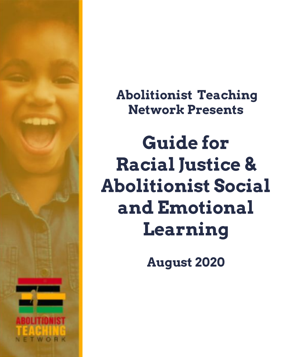

 **Abolitionist Teaching Network Presents**

**Guide for Racial Justice & Abolitionist Social and Emotional Learning**

**August 2020**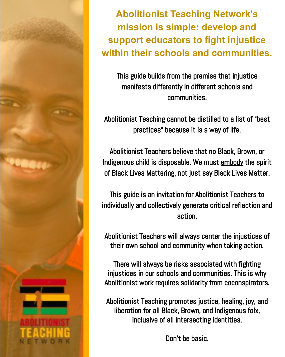

**Abolitionist Teaching Network's mission is simple: develop and support educators to fight injustice within their schools and communities.**

This guide builds from the premise that injustice manifests differently in different schools and communities.

Abolitionist Teaching cannot be distilled to a list of "best practices" because it is a way of life.

Abolitionist Teachers believe that no Black, Brown, or Indigenous child is disposable. We must embody the spirit of Black Lives Mattering, not just say Black Lives Matter.

This guide is an invitation for Abolitionist Teachers to individually and collectively generate critical reflection and action.

Abolitionist Teachers will always center the injustices of their own school and community when taking action.

There will always be risks associated with fighting injustices in our schools and communities. This is why Abolitionist work requires solidarity from coconspirators.

Abolitionist Teaching promotes justice, healing, joy, and liberation for all Black, Brown, and Indigenous folx, inclusive of all intersecting identities.

Don't be basic.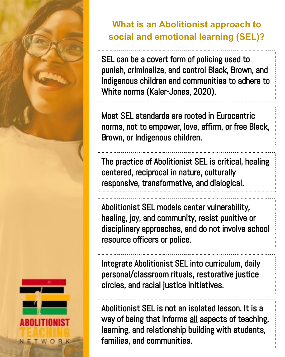

#### **What is an Abolitionist approach to social and emotional learning (SEL)?**

SEL can be a covert form of policing used to punish, criminalize, and control Black, Brown, and Indigenous children and communities to adhere to White norms (Kaler-Jones, 2020).

Most SEL standards are rooted in Eurocentric norms, not to empower, love, affirm, or free Black, Brown, or Indigenous children.

The practice of Abolitionist SEL is critical, healing centered, reciprocal in nature, culturally responsive, transformative, and dialogical.

Abolitionist SEL models center vulnerability, healing, joy, and community, resist punitive or disciplinary approaches, and do not involve school resource officers or police.

Integrate Abolitionist SEL into curriculum, daily personal/classroom rituals, restorative justice circles, and racial justice initiatives.

Abolitionist SEL is not an isolated lesson. It is a way of being that informs all aspects of teaching, learning, and relationship building with students, families, and communities.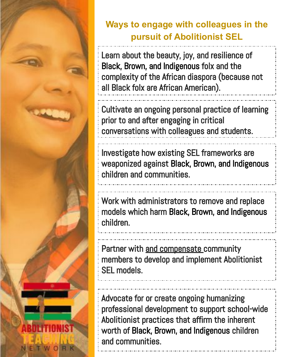

#### **Ways to engage with colleagues in the pursuit of Abolitionist SEL**

Learn about the beauty, joy, and resilience of Black, Brown, and Indigenous folx and the complexity of the African diaspora (because not all Black folx are African American).

Cultivate an ongoing personal practice of learning prior to and after engaging in critical conversations with colleagues and students.

Investigate how existing SEL frameworks are weaponized against Black, Brown, and Indigenous children and communities.

Work with administrators to remove and replace models which harm Black, Brown, and Indigenous children.

Partner with and compensate community members to develop and implement Abolitionist SEL models.

Advocate for or create ongoing humanizing professional development to support school-wide Abolitionist practices that affirm the inherent worth of Black, Brown, and Indigenous children and communities.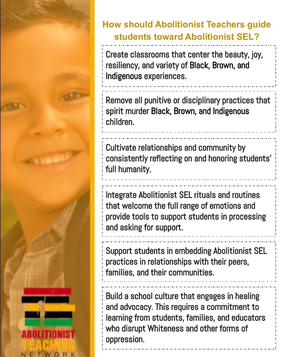

### **How should Abolitionist Teachers guide students toward Abolitionist SEL?**

Create classrooms that center the beauty, joy, resiliency, and variety of Black, Brown, and Indigenous experiences.

Remove all punitive or disciplinary practices that spirit murder Black, Brown, and Indigenous children.

Cultivate relationships and community by consistently reflecting on and honoring students' full humanity.

Integrate Abolitionist SEL rituals and routines that welcome the full range of emotions and provide tools to support students in processing and asking for support.

Support students in embedding Abolitionist SEL practices in relationships with their peers, families, and their communities.

Build a school culture that engages in healing and advocacy. This requires a commitment to learning from students, families, and educators who disrupt Whiteness and other forms of oppression.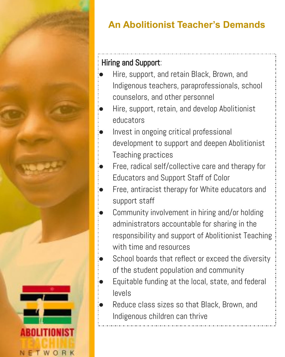

## **An Abolitionist Teacher's Demands**

#### Hiring and Support:

- Hire, support, and retain Black, Brown, and Indigenous teachers, paraprofessionals, school counselors, and other personnel
- Hire, support, retain, and develop Abolitionist educators
- Invest in ongoing critical professional development to support and deepen Abolitionist Teaching practices
- Free, radical self/collective care and therapy for Educators and Support Staff of Color
- Free, antiracist therapy for White educators and support staff
- Community involvement in hiring and/or holding administrators accountable for sharing in the responsibility and support of Abolitionist Teaching with time and resources
- School boards that reflect or exceed the diversity of the student population and community
- Equitable funding at the local, state, and federal levels
- Reduce class sizes so that Black, Brown, and Indigenous children can thrive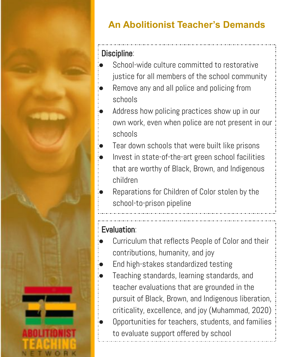

## **An Abolitionist Teacher's Demands**

#### Discipline:

- School-wide culture committed to restorative justice for all members of the school community
- Remove any and all police and policing from schools
- Address how policing practices show up in our own work, even when police are not present in our schools
- Tear down schools that were built like prisons
- Invest in state-of-the-art green school facilities that are worthy of Black, Brown, and Indigenous children
- Reparations for Children of Color stolen by the school-to-prison pipeline

#### Evaluation:

- Curriculum that reflects People of Color and their contributions, humanity, and joy
- End high-stakes standardized testing
- Teaching standards, learning standards, and teacher evaluations that are grounded in the pursuit of Black, Brown, and Indigenous liberation, criticality, excellence, and joy (Muhammad, 2020) Opportunities for teachers, students, and families to evaluate support offered by school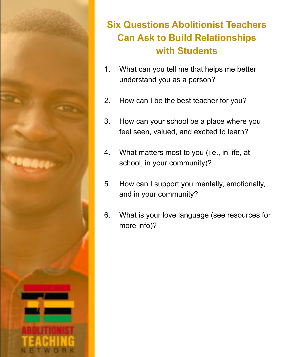

#### **Six Questions Abolitionist Teachers Can Ask to Build Relationships with Students**

- 1. What can you tell me that helps me better understand you as a person?
- 2. How can I be the best teacher for you?
- 3. How can your school be a place where you feel seen, valued, and excited to learn?
- 4. What matters most to you (i.e., in life, at school, in your community)?
- 5. How can I support you mentally, emotionally, and in your community?
- 6. What is your love language (see resources for more info)?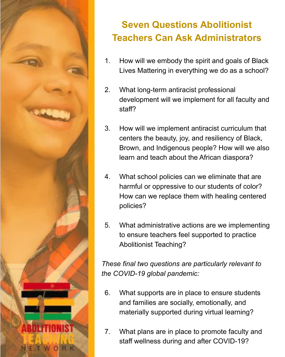

#### **Seven Questions Abolitionist Teachers Can Ask Administrators**

- 1. How will we embody the spirit and goals of Black Lives Mattering in everything we do as a school?
- 2. What long-term antiracist professional development will we implement for all faculty and staff?
- 3. How will we implement antiracist curriculum that centers the beauty, joy, and resiliency of Black, Brown, and Indigenous people? How will we also learn and teach about the African diaspora?
- 4. What school policies can we eliminate that are harmful or oppressive to our students of color? How can we replace them with healing centered policies?
- 5. What administrative actions are we implementing to ensure teachers feel supported to practice Abolitionist Teaching?

*These final two questions are particularly relevant to the COVID-19 global pandemic:*

- 6. What supports are in place to ensure students and families are socially, emotionally, and materially supported during virtual learning?
- 7. What plans are in place to promote faculty and staff wellness during and after COVID-19?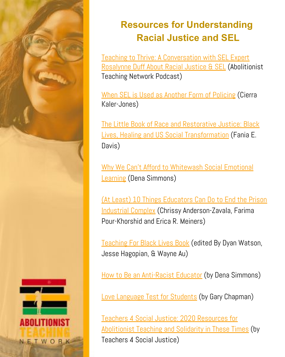

### **Resources for Understanding Racial Justice and SEL**

[Teaching to Thrive: A Conversation with SEL Expert](https://open.spotify.com/episode/04FydURix5GX6Pf1hLoIdY?si=kw1pstHKSkmckEN6gIM3BQ) [Rosalynne Duff About Racial Justice & SEL](https://open.spotify.com/episode/04FydURix5GX6Pf1hLoIdY?si=kw1pstHKSkmckEN6gIM3BQ) (Abolitionist Teaching Network Podcast)

[When SEL is Used as Another Form of Policing](https://medium.com/@justschools/when-sel-is-used-as-another-form-of-policing-fa53cf85dce4) (Cierra Kaler-Jones)

[The Little Book of Race and Restorative Justice: Black](https://www.amazon.com/dp/B07HXKF13S/ref=dp-kindle-redirect?_encoding=UTF8&btkr=1) [Lives, Healing and US Social Transformation](https://www.amazon.com/dp/B07HXKF13S/ref=dp-kindle-redirect?_encoding=UTF8&btkr=1) (Fania E. Davis)

[Why We Can't Afford to Whitewash Social Emotional](http://www.ascd.org/publications/newsletters/education_update/apr19/vol61/num04/Why_We_Can) **[Learning](http://www.ascd.org/publications/newsletters/education_update/apr19/vol61/num04/Why_We_Can) (Dena Simmons)** 

[\(At Least\) 10 Things Educators Can Do to End the Prison](https://www.edliberation.org/wp-content/uploads/2018/12/ptctw1718-antiPIC-page.pdf) [Industrial Complex](https://www.edliberation.org/wp-content/uploads/2018/12/ptctw1718-antiPIC-page.pdf) (Chrissy Anderson-Zavala, Farima Pour-Khorshid and Erica R. Meiners)

[Teaching For Black Lives Book](https://www.teachingforblacklives.org/) (edited By [Dyan Watson](https://www.rethinkingschools.org/users/dyanwatson), [Jesse Hagopian](https://www.rethinkingschools.org/users/jessehagopian), & [Wayne Au\)](https://www.rethinkingschools.org/users/wayneau)

[How to Be an Anti-Racist Educator](http://www.ascd.org/publications/newsletters/education-update/oct19/vol61/num10/How-to-Be-an-Antiracist-Educator.aspx?fbclid=IwAR1tsIowEXRl-D6K64ZU3ej8bBcGT0OuRJFr4yENJu8A0kwbAMwGhsbtJec) (by Dena Simmons)

[Love Language Test for Students](https://www.5lovelanguages.com/quizzes/child-quiz/) (by Gary Chapman)

[Teachers 4 Social Justice: 2020 Resources for](https://docs.google.com/document/d/1mNzYIo8cLGCODlgNUJ8IQ4ofG0ADNofhDOUTJtQ5dmo/edit?usp=sharing) [Abolitionist Teaching and Solidarity in These Times](https://docs.google.com/document/d/1mNzYIo8cLGCODlgNUJ8IQ4ofG0ADNofhDOUTJtQ5dmo/edit?usp=sharing) (by Teachers 4 Social Justice)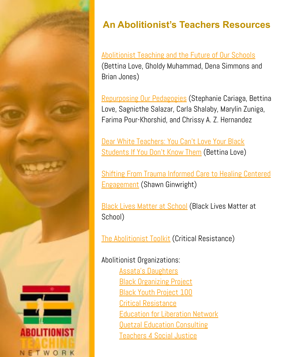

### **An Abolitionist's Teachers Resources**

[Abolitionist Teaching and the Future of Our Schools](https://www.youtube.com/watch?v=uJZ3RPJ2rNc) (Bettina Love, Gholdy Muhammad, Dena Simmons and Brian Jones)

[Repurposing Our Pedagogies](https://www.youtube.com/watch?v=39A0qBGb7WM) (Stephanie Cariaga, Bettina Love, Sagnicthe Salazar, Carla Shalaby, Marylin Zuniga, Farima Pour-Khorshid, and Chrissy A. Z. Hernandez

[Dear White Teachers: You Can't Love Your Black](https://www.edweek.org/ew/articles/2019/03/20/dear-white-teachers-you-cant-love-your.html) **[Students If You Don't Know Them](https://www.edweek.org/ew/articles/2019/03/20/dear-white-teachers-you-cant-love-your.html) (Bettina Love)** 

[Shifting From Trauma Informed Care to Healing Centered](https://drive.google.com/file/d/1lPHiG_ZW3KDMn3iBtsGg4sf-g1nZGN82/view?usp=sharing) [Engagement](https://drive.google.com/file/d/1lPHiG_ZW3KDMn3iBtsGg4sf-g1nZGN82/view?usp=sharing) (Shawn Ginwright)

**[Black Lives Matter at School](https://blacklivesmatteratschool.com/)** (Black Lives Matter at School)

[The Abolitionist Toolkit](http://criticalresistance.org/resources/the-abolitionist-toolkit/) (Critical Resistance)

Abolitionist Organizations:

[Assata's Daughters](https://www.assatasdaughters.org/) [Black Organizing Project](http://blackorganizingproject.org/) [Black Youth Project 100](https://www.byp100.org/) [Critical Resistance](http://criticalresistance.org/) [Education for Liberation Network](https://www.edliberation.org/) [Quetzal Education Consulting](https://www.quetzalec.com/our-team) [Teachers 4 Social Justice](https://t4sj.org/events/t4sj-conference-2019/)